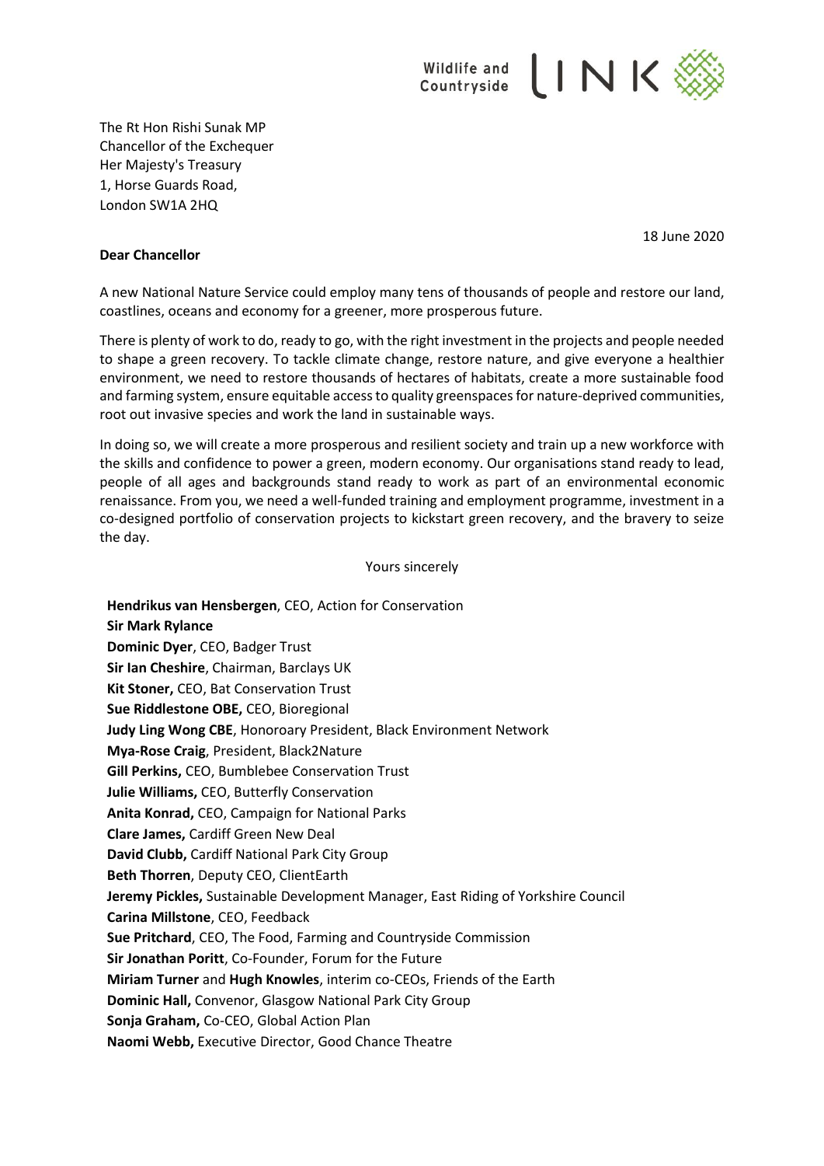

The Rt Hon Rishi Sunak MP Chancellor of the Exchequer Her Majesty's Treasury 1, Horse Guards Road, London SW1A 2HQ

18 June 2020

## **Dear Chancellor**

A new National Nature Service could employ many tens of thousands of people and restore our land, coastlines, oceans and economy for a greener, more prosperous future.

There is plenty of work to do, ready to go, with the right investment in the projects and people needed to shape a green recovery. To tackle climate change, restore nature, and give everyone a healthier environment, we need to restore thousands of hectares of habitats, create a more sustainable food and farming system, ensure equitable access to quality greenspaces for nature-deprived communities, root out invasive species and work the land in sustainable ways.

In doing so, we will create a more prosperous and resilient society and train up a new workforce with the skills and confidence to power a green, modern economy. Our organisations stand ready to lead, people of all ages and backgrounds stand ready to work as part of an environmental economic renaissance. From you, we need a well-funded training and employment programme, investment in a co-designed portfolio of conservation projects to kickstart green recovery, and the bravery to seize the day.

Yours sincerely

**Hendrikus van Hensbergen**, CEO, Action for Conservation **Sir Mark Rylance Dominic Dyer**, CEO, Badger Trust **Sir Ian Cheshire**, Chairman, Barclays UK **Kit Stoner,** CEO, Bat Conservation Trust **Sue Riddlestone OBE,** CEO, Bioregional **Judy Ling Wong CBE**, Honoroary President, Black Environment Network **Mya-Rose Craig**, President, Black2Nature **Gill Perkins,** CEO, Bumblebee Conservation Trust **Julie Williams,** CEO, Butterfly Conservation **Anita Konrad,** CEO, Campaign for National Parks **Clare James,** Cardiff Green New Deal **David Clubb,** Cardiff National Park City Group **Beth Thorren**, Deputy CEO, ClientEarth **Jeremy Pickles,** Sustainable Development Manager, East Riding of Yorkshire Council **Carina Millstone**, CEO, Feedback **Sue Pritchard**, CEO, The Food, Farming and Countryside Commission **Sir Jonathan Poritt**, Co-Founder, Forum for the Future **Miriam Turner** and **Hugh Knowles**, interim co-CEOs, Friends of the Earth **Dominic Hall,** Convenor, Glasgow National Park City Group **Sonja Graham,** Co-CEO, Global Action Plan **Naomi Webb,** Executive Director, Good Chance Theatre